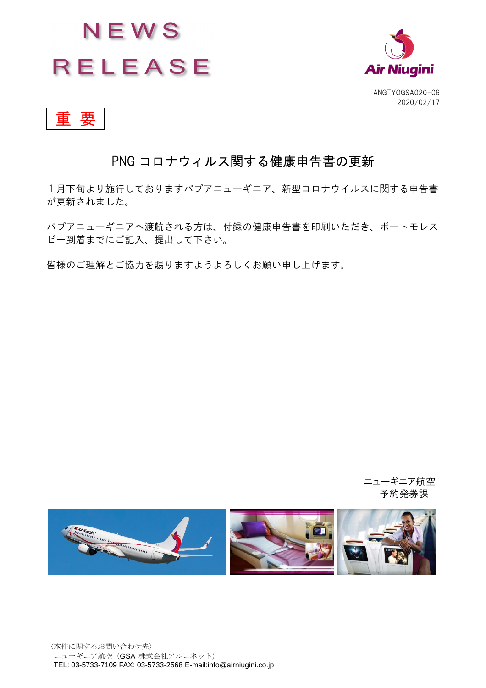



重 要

## PNG コロナウィルス関する健康申告書の更新

1月下旬より施行しておりますパプアニューギニア、新型コロナウイルスに関する申告書 が更新されました。

パプアニューギニアへ渡航される方は、付録の健康申告書を印刷いただき、ポートモレス ビー到着までにご記入、提出して下さい。

皆様のご理解とご協力を賜りますようよろしくお願い申し上げます。

ニューギニア航空 予約発券課

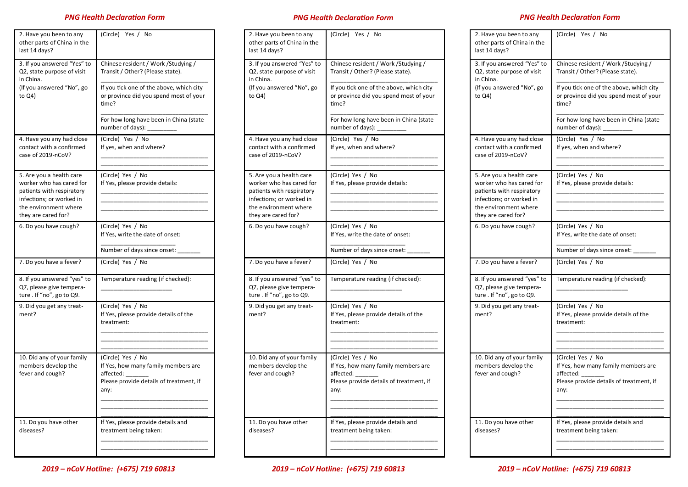## *PNG Health Declaration Form PNG Health Declaration Form PNG Health Declaration Form*

| 2. Have you been to any<br>other parts of China in the<br>last 14 days?                                                                                       | (Circle) Yes / No                                                                                                        |
|---------------------------------------------------------------------------------------------------------------------------------------------------------------|--------------------------------------------------------------------------------------------------------------------------|
| 3. If you answered "Yes" to<br>Q2, state purpose of visit<br>in China.                                                                                        | Chinese resident / Work / Studying /<br>Transit / Other? (Please state).                                                 |
| (If you answered "No", go<br>to Q4)                                                                                                                           | If you tick one of the above, which city<br>or province did you spend most of your<br>time?                              |
|                                                                                                                                                               | For how long have been in China (state<br>number of days):                                                               |
| 4. Have you any had close<br>contact with a confirmed<br>case of 2019-nCoV?                                                                                   | (Circle) Yes / No<br>If yes, when and where?                                                                             |
| 5. Are you a health care<br>worker who has cared for<br>patients with respiratory<br>infections; or worked in<br>the environment where<br>they are cared for? | (Circle) Yes / No<br>If Yes, please provide details:                                                                     |
| 6. Do you have cough?                                                                                                                                         | (Circle) Yes / No<br>If Yes, write the date of onset:                                                                    |
|                                                                                                                                                               | Number of days since onset:                                                                                              |
| 7. Do you have a fever?                                                                                                                                       | (Circle) Yes / No                                                                                                        |
| 8. If you answered "yes" to<br>Q7, please give tempera-<br>ture. If "no", go to Q9.                                                                           | Temperature reading (if checked):                                                                                        |
| 9. Did you get any treat-<br>ment?                                                                                                                            | (Circle) Yes / No<br>If Yes, please provide details of the<br>treatment:                                                 |
|                                                                                                                                                               |                                                                                                                          |
| 10. Did any of your family<br>members develop the<br>fever and cough?                                                                                         | (Circle) Yes / No<br>If Yes, how many family members are<br>affected:<br>Please provide details of treatment, if<br>any: |
| 11. Do you have other<br>diseases?                                                                                                                            | If Yes, please provide details and<br>treatment being taken:                                                             |

| 2. Have you been to any<br>other parts of China in the<br>last 14 days?                                                                                       | (Circle) Yes / No                                                                                                           |
|---------------------------------------------------------------------------------------------------------------------------------------------------------------|-----------------------------------------------------------------------------------------------------------------------------|
| 3. If you answered "Yes" to<br>Q2, state purpose of visit<br>in China.                                                                                        | Chinese resident / Work / Studying /<br>Transit / Other? (Please state).                                                    |
| (If you answered "No", go<br>to Q4)                                                                                                                           | If you tick one of the above, which city<br>or province did you spend most of your<br>time?                                 |
|                                                                                                                                                               | For how long have been in China (state<br>number of days):                                                                  |
| 4. Have you any had close<br>contact with a confirmed<br>case of 2019-nCoV?                                                                                   | (Circle) Yes / No<br>If yes, when and where?                                                                                |
| 5. Are you a health care<br>worker who has cared for<br>patients with respiratory<br>infections; or worked in<br>the environment where<br>they are cared for? | (Circle) Yes / No<br>If Yes, please provide details:                                                                        |
| 6. Do you have cough?                                                                                                                                         | (Circle) Yes / No<br>If Yes, write the date of onset:<br>Number of days since onset:                                        |
| 7. Do you have a fever?                                                                                                                                       | (Circle) Yes / No                                                                                                           |
| 8. If you answered "yes" to<br>Q7, please give tempera-<br>ture. If "no", go to Q9.                                                                           | Temperature reading (if checked):                                                                                           |
| 9. Did you get any treat-<br>ment?                                                                                                                            | (Circle) Yes / No<br>If Yes, please provide details of the<br>treatment:                                                    |
| 10. Did any of your family<br>members develop the<br>fever and cough?                                                                                         | (Circle) Yes / No<br>If Yes, how many family members are<br>affected: __<br>Please provide details of treatment, if<br>any: |
| 11. Do you have other<br>diseases?                                                                                                                            | If Yes, please provide details and<br>treatment being taken:                                                                |

| 2. Have you been to any<br>other parts of China in the<br>last 14 days?                                                                                       | (Circle) Yes / No                                                                                                        |  |
|---------------------------------------------------------------------------------------------------------------------------------------------------------------|--------------------------------------------------------------------------------------------------------------------------|--|
| 3. If you answered "Yes" to<br>Q2, state purpose of visit<br>in China.                                                                                        | Chinese resident / Work / Studying /<br>Transit / Other? (Please state).                                                 |  |
| (If you answered "No", go<br>to Q4)                                                                                                                           | If you tick one of the above, which city<br>or province did you spend most of your<br>time?                              |  |
|                                                                                                                                                               | For how long have been in China (state<br>number of days): _                                                             |  |
| 4. Have you any had close<br>contact with a confirmed<br>case of 2019-nCoV?                                                                                   | (Circle) Yes / No<br>If yes, when and where?                                                                             |  |
| 5. Are you a health care<br>worker who has cared for<br>patients with respiratory<br>infections; or worked in<br>the environment where<br>they are cared for? | (Circle) Yes / No<br>If Yes, please provide details:                                                                     |  |
| 6. Do you have cough?                                                                                                                                         | (Circle) Yes / No<br>If Yes, write the date of onset:                                                                    |  |
| 7. Do you have a fever?                                                                                                                                       | Number of days since onset:<br>(Circle) Yes / No                                                                         |  |
| 8. If you answered "yes" to<br>Q7, please give tempera-<br>ture. If "no", go to Q9.                                                                           | Temperature reading (if checked):                                                                                        |  |
| 9. Did you get any treat-<br>ment?                                                                                                                            | (Circle) Yes / No<br>If Yes, please provide details of the<br>treatment:                                                 |  |
| 10. Did any of your family<br>members develop the<br>fever and cough?                                                                                         | (Circle) Yes / No<br>If Yes, how many family members are<br>affected:<br>Please provide details of treatment, if<br>any: |  |
| 11. Do you have other<br>diseases?                                                                                                                            | If Yes, please provide details and<br>treatment being taken:                                                             |  |

*2019 – nCoV Hotline: (+675) 719 60813*